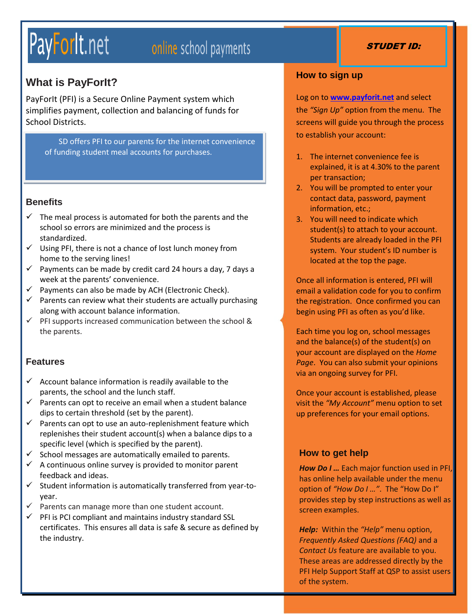# PayForlt net

# online school payments

## **What is PayForIt?**

PayForIt (PFI) is a Secure Online Payment system which simplifies payment, collection and balancing of funds for School Districts.

SD offers PFI to our parents for the internet convenience of funding student meal accounts for purchases.

#### **Benefits**

- $\checkmark$  The meal process is automated for both the parents and the school so errors are minimized and the process is standardized.
- $\checkmark$  Using PFI, there is not a chance of lost lunch money from home to the serving lines!
- $\checkmark$  Payments can be made by credit card 24 hours a day, 7 days a week at the parents' convenience.
- $\checkmark$  Payments can also be made by ACH (Electronic Check).
- $\checkmark$  Parents can review what their students are actually purchasing along with account balance information.
- $\checkmark$  PFI supports increased communication between the school & the parents.

#### **Features**

- $\checkmark$  Account balance information is readily available to the parents, the school and the lunch staff.
- $\checkmark$  Parents can opt to receive an email when a student balance dips to certain threshold (set by the parent).
- $\checkmark$  Parents can opt to use an auto-replenishment feature which replenishes their student account(s) when a balance dips to a specific level (which is specified by the parent).
- $\checkmark$  School messages are automatically emailed to parents.
- $\checkmark$  A continuous online survey is provided to monitor parent feedback and ideas.
- $\checkmark$  Student information is automatically transferred from year-toyear.
- $\checkmark$  Parents can manage more than one student account.
- $\checkmark$  PFI is PCI compliant and maintains industry standard SSL certificates. This ensures all data is safe & secure as defined by the industry.

#### **How to sign up**

Log on to **[www.payforit.net](http://www.payforit.net/)** and select the *"Sign Up"* option from the menu. The screens will guide you through the process to establish your account:

- 1. The internet convenience fee is explained, it is at 4.30% to the parent per transaction;
- 2. You will be prompted to enter your contact data, password, payment information, etc.;
- 3. You will need to indicate which student(s) to attach to your account. Students are already loaded in the PFI system. Your student's ID number is located at the top the page.

Once all information is entered, PFI will email a validation code for you to confirm the registration. Once confirmed you can begin using PFI as often as you'd like.

Each time you log on, school messages and the balance(s) of the student(s) on your account are displayed on the *Home Page*. You can also submit your opinions via an ongoing survey for PFI.

Once your account is established, please visit the *"My Account"* menu option to set up preferences for your email options.

#### **How to get help**

*How Do I …* Each major function used in PFI, has online help available under the menu option of *"How Do I …"*. The "How Do I" provides step by step instructions as well as screen examples.

*Help:* Within the *"Help"* menu option, *Frequently Asked Questions (FAQ)* and a *Contact Us* feature are available to you. These areas are addressed directly by the PFI Help Support Staff at QSP to assist users of the system.

#### STUDET ID: